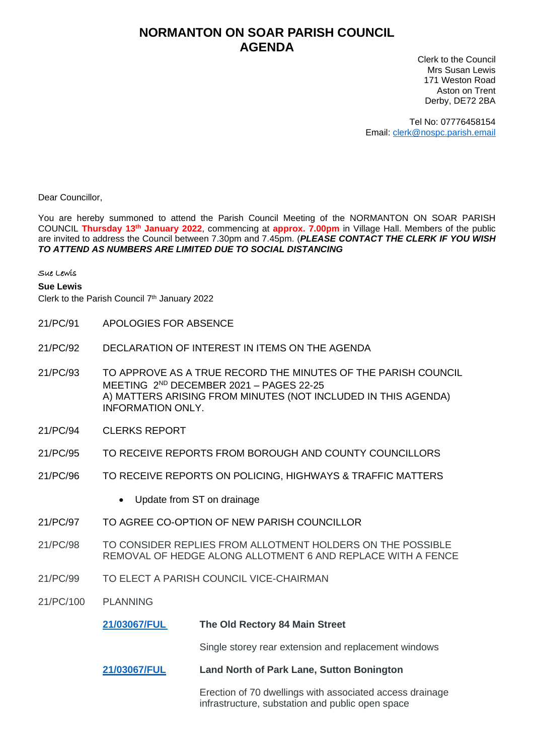## **NORMANTON ON SOAR PARISH COUNCIL AGENDA**

Clerk to the Council Mrs Susan Lewis 171 Weston Road Aston on Trent Derby, DE72 2BA

Tel No: 07776458154 Email: [clerk@nospc.parish.email](mailto:clerk@nospc.parish.email)

Dear Councillor,

You are hereby summoned to attend the Parish Council Meeting of the NORMANTON ON SOAR PARISH COUNCIL **Thursday 13th January 2022**, commencing at **approx. 7.00pm** in Village Hall. Members of the public are invited to address the Council between 7.30pm and 7.45pm. (*PLEASE CONTACT THE CLERK IF YOU WISH TO ATTEND AS NUMBERS ARE LIMITED DUE TO SOCIAL DISTANCING*

## Sue Lewis

## **Sue Lewis**

Clerk to the Parish Council 7<sup>th</sup> January 2022

- 21/PC/91 APOLOGIES FOR ABSENCE
- 21/PC/92 DECLARATION OF INTEREST IN ITEMS ON THE AGENDA
- 21/PC/93 TO APPROVE AS A TRUE RECORD THE MINUTES OF THE PARISH COUNCIL MEETING 2 ND DECEMBER 2021 – PAGES 22-25 A) MATTERS ARISING FROM MINUTES (NOT INCLUDED IN THIS AGENDA) INFORMATION ONLY.
- 21/PC/94 CLERKS REPORT
- 21/PC/95 TO RECEIVE REPORTS FROM BOROUGH AND COUNTY COUNCILLORS
- 21/PC/96 TO RECEIVE REPORTS ON POLICING, HIGHWAYS & TRAFFIC MATTERS
	- Update from ST on drainage
- 21/PC/97 TO AGREE CO-OPTION OF NEW PARISH COUNCILLOR
- 21/PC/98 TO CONSIDER REPLIES FROM ALLOTMENT HOLDERS ON THE POSSIBLE REMOVAL OF HEDGE ALONG ALLOTMENT 6 AND REPLACE WITH A FENCE
- 21/PC/99 TO ELECT A PARISH COUNCIL VICE-CHAIRMAN
- 21/PC/100 PLANNING

**[21/03067/FUL](https://planningon-line.rushcliffe.gov.uk/online-applications/applicationDetails.do?activeTab=documents&keyVal=R3UH3YNL0CT00) The Old Rectory 84 Main Street**

Single storey rear extension and replacement windows

**[21/03067/FUL](https://planningon-line.rushcliffe.gov.uk/online-applications/applicationDetails.do?activeTab=documents&keyVal=QXEJA3NLGKC00) Land North of Park Lane, Sutton Bonington**

Erection of 70 dwellings with associated access drainage infrastructure, substation and public open space